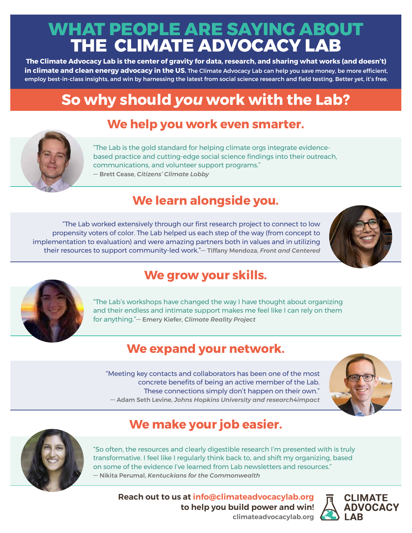## **WHAT PEOPLE ARE SAYING ABOUT THE CLIMATE ADVOCACY LAB**

**The Climate Advocacy Lab is the center of gravity for data, research, and sharing what works (and doesn't) in climate and clean energy advocacy in the US.** The Climate Advocacy Lab can help you save money, be more efficient, employ best-in-class insights, and win by harnessing the latest from social science research and field testing. Better yet, it's free.

# **So why should** *you* **work with the Lab?**

#### **We help you work even smarter.**



"The Lab is the gold standard for helping climate orgs integrate evidencebased practice and cutting-edge social science findings into their outreach, communications, and volunteer support programs." — Brett Cease, *Citizens' Climate Lobby*

#### **We learn alongside you.**

"The Lab worked extensively through our first research project to connect to low propensity voters of color. The Lab helped us each step of the way (from concept to implementation to evaluation) and were amazing partners both in values and in utilizing their resources to support community-led work."— Tiffany Mendoza, *Front and Centered*





### **We grow your skills.**

"The Lab's workshops have changed the way I have thought about organizing and their endless and intimate support makes me feel like I can rely on them for anything."— Emery Kiefer, *Climate Reality Project*

#### **We expand your network.**

"Meeting key contacts and collaborators has been one of the most concrete benefits of being an active member of the Lab. These connections simply don't happen on their own." — Adam Seth Levine, *Johns Hopkins University and research4impact*





#### **We make your job easier.**

"So often, the resources and clearly digestible research I'm presented with is truly transformative. I feel like I regularly think back to, and shift my organizing, based on some of the evidence I've learned from Lab newsletters and resources." — Nikita Perumal, *Kentuckians for the Commonwealth*

**Reach out to us at [info@climateadvocacylab.org](mailto:info%40climateadvocacylab.org?subject=Please%20share%20more%20about%20Climate%20Advocacy%20Lab) to help you build power and win! [climateadvocacylab.org](http://climateadvocacylab.org)**